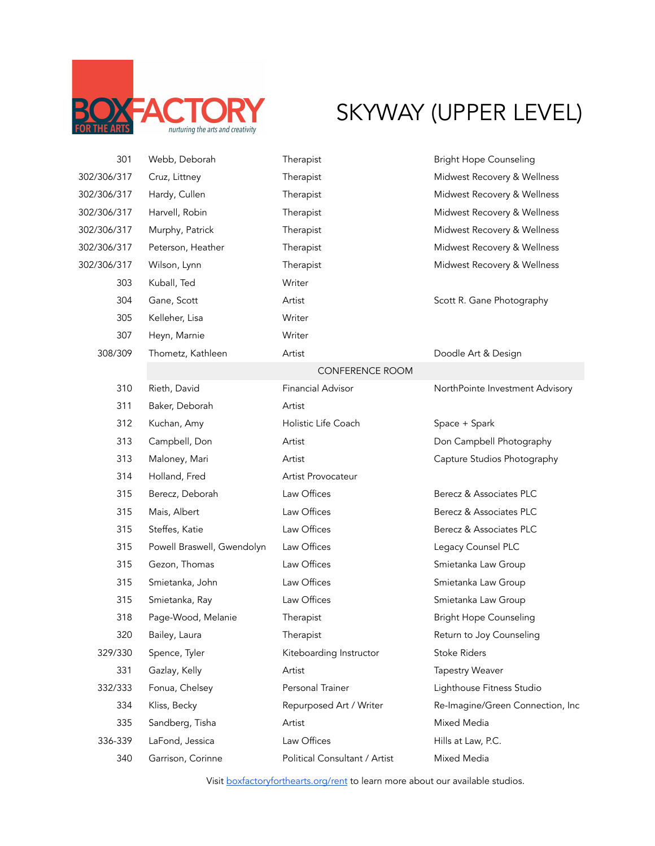

## SKYWAY (UPPER LEVEL)

| 301         | Webb, Deborah              | Therapist                     | <b>Bright Hope Counseling</b>    |
|-------------|----------------------------|-------------------------------|----------------------------------|
| 302/306/317 | Cruz, Littney              | Therapist                     | Midwest Recovery & Wellness      |
| 302/306/317 | Hardy, Cullen              | Therapist                     | Midwest Recovery & Wellness      |
| 302/306/317 | Harvell, Robin             | Therapist                     | Midwest Recovery & Wellness      |
| 302/306/317 | Murphy, Patrick            | Therapist                     | Midwest Recovery & Wellness      |
| 302/306/317 | Peterson, Heather          | Therapist                     | Midwest Recovery & Wellness      |
| 302/306/317 | Wilson, Lynn               | Therapist                     | Midwest Recovery & Wellness      |
| 303         | Kuball, Ted                | Writer                        |                                  |
| 304         | Gane, Scott                | Artist                        | Scott R. Gane Photography        |
| 305         | Kelleher, Lisa             | Writer                        |                                  |
| 307         | Heyn, Marnie               | Writer                        |                                  |
| 308/309     | Thometz, Kathleen          | Artist                        | Doodle Art & Design              |
|             |                            | CONFERENCE ROOM               |                                  |
| 310         | Rieth, David               | <b>Financial Advisor</b>      | NorthPointe Investment Advisory  |
| 311         | Baker, Deborah             | Artist                        |                                  |
| 312         | Kuchan, Amy                | Holistic Life Coach           | Space + Spark                    |
| 313         | Campbell, Don              | Artist                        | Don Campbell Photography         |
| 313         | Maloney, Mari              | Artist                        | Capture Studios Photography      |
| 314         | Holland, Fred              | Artist Provocateur            |                                  |
| 315         | Berecz, Deborah            | Law Offices                   | Berecz & Associates PLC          |
| 315         | Mais, Albert               | Law Offices                   | Berecz & Associates PLC          |
| 315         | Steffes, Katie             | Law Offices                   | Berecz & Associates PLC          |
| 315         | Powell Braswell, Gwendolyn | Law Offices                   | Legacy Counsel PLC               |
| 315         | Gezon, Thomas              | Law Offices                   | Smietanka Law Group              |
| 315         | Smietanka, John            | Law Offices                   | Smietanka Law Group              |
| 315         | Smietanka, Ray             | Law Offices                   | Smietanka Law Group              |
| 318         | Page-Wood, Melanie         | Therapist                     | <b>Bright Hope Counseling</b>    |
| 320         | Bailey, Laura              | Therapist                     | Return to Joy Counseling         |
| 329/330     | Spence, Tyler              | Kiteboarding Instructor       | <b>Stoke Riders</b>              |
| 331         | Gazlay, Kelly              | Artist                        | <b>Tapestry Weaver</b>           |
| 332/333     | Fonua, Chelsey             | Personal Trainer              | Lighthouse Fitness Studio        |
| 334         | Kliss, Becky               | Repurposed Art / Writer       | Re-Imagine/Green Connection, Inc |
| 335         | Sandberg, Tisha            | Artist                        | Mixed Media                      |
| 336-339     | LaFond, Jessica            | Law Offices                   | Hills at Law, P.C.               |
| 340         | Garrison, Corinne          | Political Consultant / Artist | Mixed Media                      |

Visit boxfactoryforthearts.org/rent to learn more about our available studios.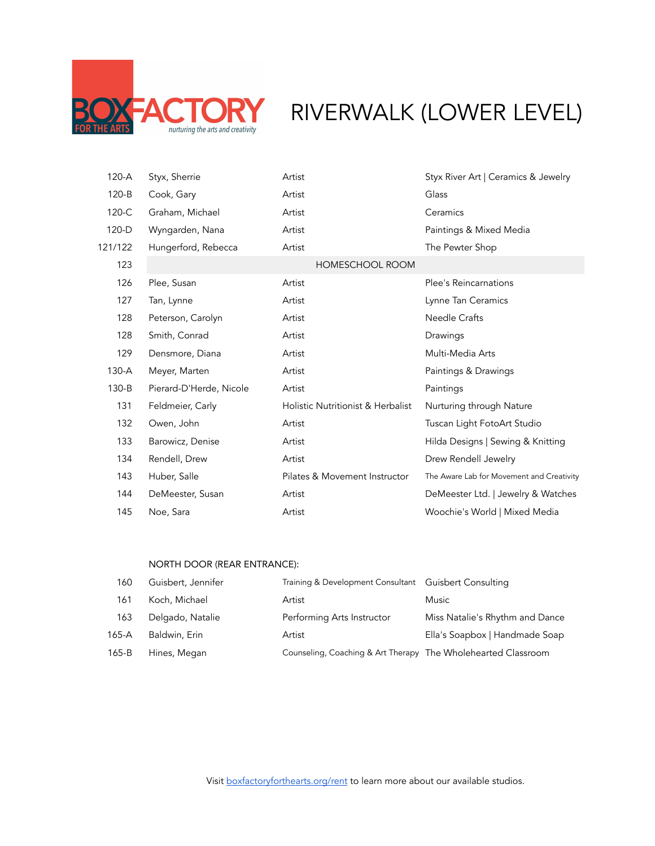

## ORY RIVERWALK (LOWER LEVEL)

| 120-A   | Styx, Sherrie           | Artist                            | Styx River Art   Ceramics & Jewelry       |
|---------|-------------------------|-----------------------------------|-------------------------------------------|
| $120-B$ | Cook, Gary              | Artist                            | Glass                                     |
| 120-C   | Graham, Michael         | Artist                            | Ceramics                                  |
| 120-D   | Wyngarden, Nana         | Artist                            | Paintings & Mixed Media                   |
| 121/122 | Hungerford, Rebecca     | Artist                            | The Pewter Shop                           |
| 123     |                         | <b>HOMESCHOOL ROOM</b>            |                                           |
| 126     | Plee, Susan             | Artist                            | <b>Plee's Reincarnations</b>              |
| 127     | Tan, Lynne              | Artist                            | Lynne Tan Ceramics                        |
| 128     | Peterson, Carolyn       | Artist                            | <b>Needle Crafts</b>                      |
| 128     | Smith, Conrad           | Artist                            | Drawings                                  |
| 129     | Densmore, Diana         | Artist                            | Multi-Media Arts                          |
| $130-A$ | Meyer, Marten           | Artist                            | Paintings & Drawings                      |
| 130-B   | Pierard-D'Herde, Nicole | Artist                            | Paintings                                 |
| 131     | Feldmeier, Carly        | Holistic Nutritionist & Herbalist | Nurturing through Nature                  |
| 132     | Owen, John              | Artist                            | Tuscan Light FotoArt Studio               |
| 133     | Barowicz, Denise        | Artist                            | Hilda Designs   Sewing & Knitting         |
| 134     | Rendell, Drew           | Artist                            | Drew Rendell Jewelry                      |
| 143     | Huber, Salle            | Pilates & Movement Instructor     | The Aware Lab for Movement and Creativity |
| 144     | DeMeester, Susan        | Artist                            | DeMeester Ltd.   Jewelry & Watches        |
| 145     | Noe, Sara               | Artist                            | Woochie's World   Mixed Media             |

## NORTH DOOR (REAR ENTRANCE):

| 160     | Guisbert, Jennifer | Training & Development Consultant Guisbert Consulting         |                                 |
|---------|--------------------|---------------------------------------------------------------|---------------------------------|
| 161     | Koch, Michael      | Artist                                                        | <b>Music</b>                    |
| 163     | Delgado, Natalie   | Performing Arts Instructor                                    | Miss Natalie's Rhythm and Dance |
| 165-A   | Baldwin, Erin      | Artist                                                        | Ella's Soapbox   Handmade Soap  |
| $165-B$ | Hines, Megan       | Counseling, Coaching & Art Therapy The Wholehearted Classroom |                                 |

Visit boxfactoryforthearts.org/rent to learn more about our available studios.